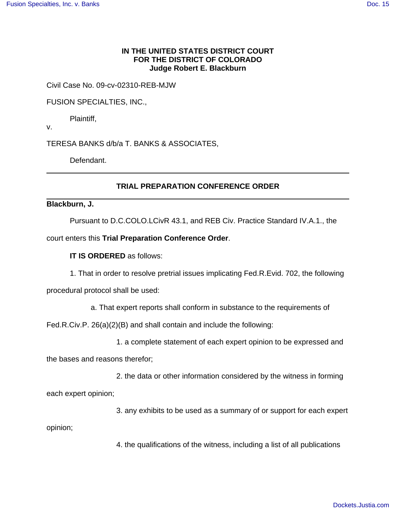### **IN THE UNITED STATES DISTRICT COURT FOR THE DISTRICT OF COLORADO Judge Robert E. Blackburn**

Civil Case No. 09-cv-02310-REB-MJW

### FUSION SPECIALTIES, INC.,

Plaintiff,

v.

TERESA BANKS d/b/a T. BANKS & ASSOCIATES,

Defendant.

# **TRIAL PREPARATION CONFERENCE ORDER**

### **Blackburn, J.**

Pursuant to D.C.COLO.LCivR 43.1, and REB Civ. Practice Standard IV.A.1., the

court enters this **Trial Preparation Conference Order**.

## **IT IS ORDERED** as follows:

1. That in order to resolve pretrial issues implicating Fed.R.Evid. 702, the following

procedural protocol shall be used:

a. That expert reports shall conform in substance to the requirements of

Fed.R.Civ.P. 26(a)(2)(B) and shall contain and include the following:

1. a complete statement of each expert opinion to be expressed and

the bases and reasons therefor;

2. the data or other information considered by the witness in forming

each expert opinion;

3. any exhibits to be used as a summary of or support for each expert

opinion;

4. the qualifications of the witness, including a list of all publications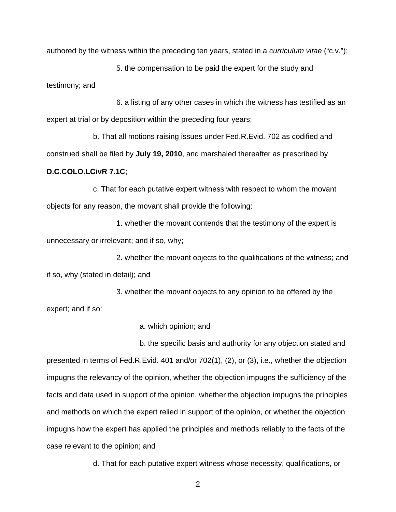authored by the witness within the preceding ten years, stated in a curriculum vitae ("c.v.");

5. the compensation to be paid the expert for the study and testimony; and

6. a listing of any other cases in which the witness has testified as an expert at trial or by deposition within the preceding four years;

b. That all motions raising issues under Fed.R.Evid. 702 as codified and construed shall be filed by **July 19, 2010**, and marshaled thereafter as prescribed by **D.C.COLO.LCivR 7.1C**;

c. That for each putative expert witness with respect to whom the movant objects for any reason, the movant shall provide the following:

1. whether the movant contends that the testimony of the expert is unnecessary or irrelevant; and if so, why;

2. whether the movant objects to the qualifications of the witness; and if so, why (stated in detail); and

3. whether the movant objects to any opinion to be offered by the expert; and if so:

a. which opinion; and

b. the specific basis and authority for any objection stated and presented in terms of Fed.R.Evid. 401 and/or 702(1), (2), or (3), i.e., whether the objection impugns the relevancy of the opinion, whether the objection impugns the sufficiency of the facts and data used in support of the opinion, whether the objection impugns the principles and methods on which the expert relied in support of the opinion, or whether the objection impugns how the expert has applied the principles and methods reliably to the facts of the case relevant to the opinion; and

d. That for each putative expert witness whose necessity, qualifications, or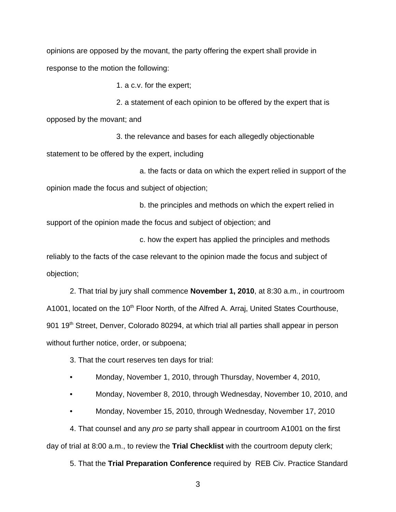opinions are opposed by the movant, the party offering the expert shall provide in response to the motion the following:

1. a c.v. for the expert;

2. a statement of each opinion to be offered by the expert that is

opposed by the movant; and

3. the relevance and bases for each allegedly objectionable statement to be offered by the expert, including

a. the facts or data on which the expert relied in support of the opinion made the focus and subject of objection;

b. the principles and methods on which the expert relied in support of the opinion made the focus and subject of objection; and

c. how the expert has applied the principles and methods

reliably to the facts of the case relevant to the opinion made the focus and subject of objection;

2. That trial by jury shall commence **November 1, 2010**, at 8:30 a.m., in courtroom A1001, located on the 10<sup>th</sup> Floor North, of the Alfred A. Arraj, United States Courthouse, 901 19<sup>th</sup> Street, Denver, Colorado 80294, at which trial all parties shall appear in person without further notice, order, or subpoena;

3. That the court reserves ten days for trial:

• Monday, November 1, 2010, through Thursday, November 4, 2010,

• Monday, November 8, 2010, through Wednesday, November 10, 2010, and

• Monday, November 15, 2010, through Wednesday, November 17, 2010

4. That counsel and any *pro se* party shall appear in courtroom A1001 on the first day of trial at 8:00 a.m., to review the **Trial Checklist** with the courtroom deputy clerk;

5. That the **Trial Preparation Conference** required by REB Civ. Practice Standard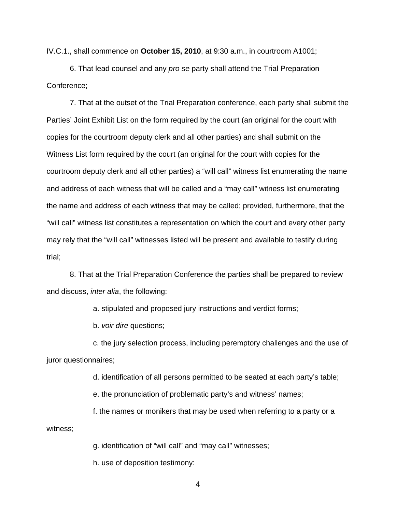IV.C.1., shall commence on **October 15, 2010**, at 9:30 a.m., in courtroom A1001;

6. That lead counsel and any pro se party shall attend the Trial Preparation Conference;

7. That at the outset of the Trial Preparation conference, each party shall submit the Parties' Joint Exhibit List on the form required by the court (an original for the court with copies for the courtroom deputy clerk and all other parties) and shall submit on the Witness List form required by the court (an original for the court with copies for the courtroom deputy clerk and all other parties) a "will call" witness list enumerating the name and address of each witness that will be called and a "may call" witness list enumerating the name and address of each witness that may be called; provided, furthermore, that the "will call" witness list constitutes a representation on which the court and every other party may rely that the "will call" witnesses listed will be present and available to testify during trial;

8. That at the Trial Preparation Conference the parties shall be prepared to review and discuss, inter alia, the following:

a. stipulated and proposed jury instructions and verdict forms;

b. voir dire questions;

c. the jury selection process, including peremptory challenges and the use of juror questionnaires;

d. identification of all persons permitted to be seated at each party's table;

e. the pronunciation of problematic party's and witness' names;

f. the names or monikers that may be used when referring to a party or a witness;

g. identification of "will call" and "may call" witnesses;

h. use of deposition testimony: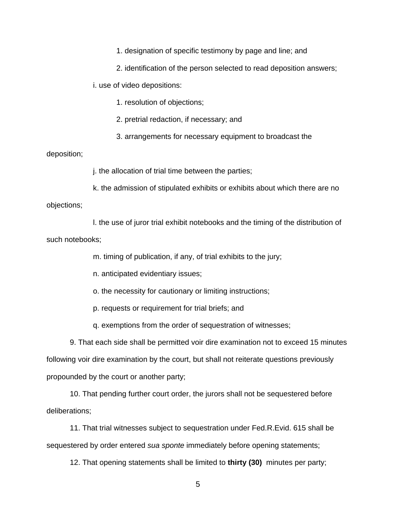1. designation of specific testimony by page and line; and

2. identification of the person selected to read deposition answers;

i. use of video depositions:

1. resolution of objections;

2. pretrial redaction, if necessary; and

3. arrangements for necessary equipment to broadcast the

deposition;

j. the allocation of trial time between the parties;

k. the admission of stipulated exhibits or exhibits about which there are no objections;

l. the use of juror trial exhibit notebooks and the timing of the distribution of such notebooks;

m. timing of publication, if any, of trial exhibits to the jury;

n. anticipated evidentiary issues;

o. the necessity for cautionary or limiting instructions;

p. requests or requirement for trial briefs; and

q. exemptions from the order of sequestration of witnesses;

9. That each side shall be permitted voir dire examination not to exceed 15 minutes following voir dire examination by the court, but shall not reiterate questions previously propounded by the court or another party;

10. That pending further court order, the jurors shall not be sequestered before deliberations;

11. That trial witnesses subject to sequestration under Fed.R.Evid. 615 shall be sequestered by order entered *sua sponte* immediately before opening statements;

12. That opening statements shall be limited to **thirty (30)** minutes per party;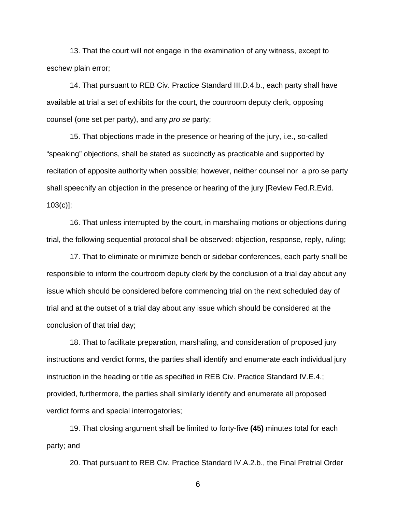13. That the court will not engage in the examination of any witness, except to eschew plain error;

14. That pursuant to REB Civ. Practice Standard III.D.4.b., each party shall have available at trial a set of exhibits for the court, the courtroom deputy clerk, opposing counsel (one set per party), and any pro se party;

15. That objections made in the presence or hearing of the jury, i.e., so-called "speaking" objections, shall be stated as succinctly as practicable and supported by recitation of apposite authority when possible; however, neither counsel nor a pro se party shall speechify an objection in the presence or hearing of the jury [Review Fed.R.Evid.  $103(c)$ ];

16. That unless interrupted by the court, in marshaling motions or objections during trial, the following sequential protocol shall be observed: objection, response, reply, ruling;

17. That to eliminate or minimize bench or sidebar conferences, each party shall be responsible to inform the courtroom deputy clerk by the conclusion of a trial day about any issue which should be considered before commencing trial on the next scheduled day of trial and at the outset of a trial day about any issue which should be considered at the conclusion of that trial day;

18. That to facilitate preparation, marshaling, and consideration of proposed jury instructions and verdict forms, the parties shall identify and enumerate each individual jury instruction in the heading or title as specified in REB Civ. Practice Standard IV.E.4.; provided, furthermore, the parties shall similarly identify and enumerate all proposed verdict forms and special interrogatories;

19. That closing argument shall be limited to forty-five **(45)** minutes total for each party; and

20. That pursuant to REB Civ. Practice Standard IV.A.2.b., the Final Pretrial Order